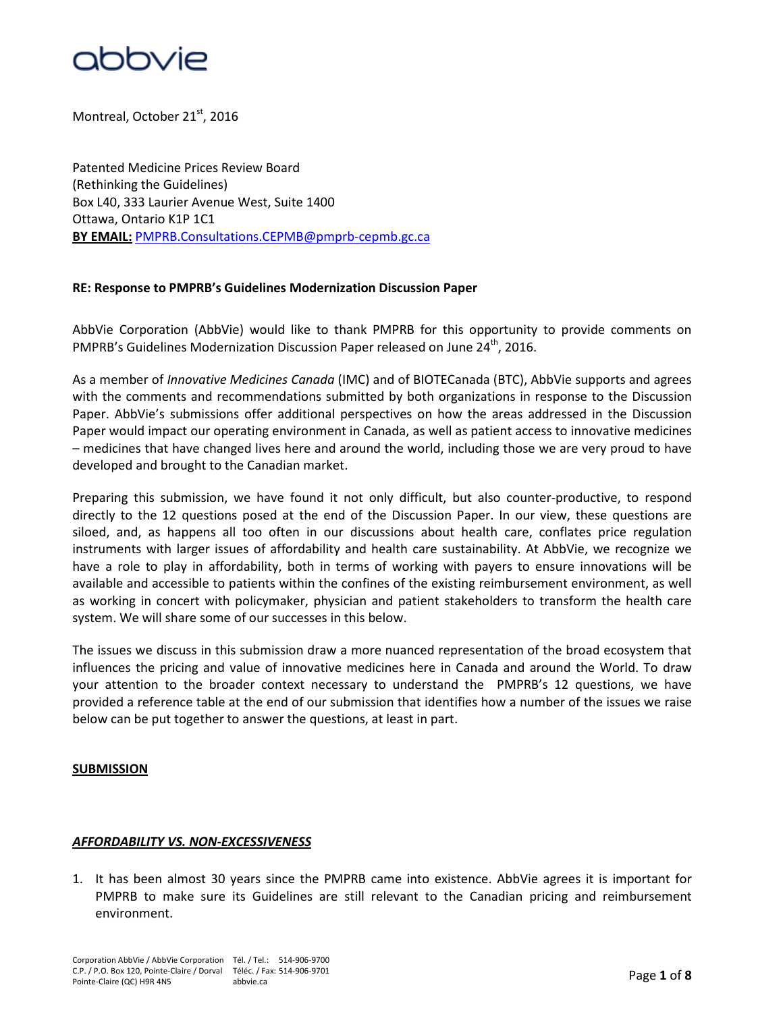

Montreal, October 21<sup>st</sup>, 2016

Patented Medicine Prices Review Board (Rethinking the Guidelines) Box L40, 333 Laurier Avenue West, Suite 1400 Ottawa, Ontario K1P 1C1 **BY EMAIL:** [PMPRB.Consultations.CEPMB@pmprb-cepmb.gc.ca](mailto:PMPRB.Consultations.CEPMB@pmprb-cepmb.gc.ca)

#### **RE: Response to PMPRB's Guidelines Modernization Discussion Paper**

AbbVie Corporation (AbbVie) would like to thank PMPRB for this opportunity to provide comments on PMPRB's Guidelines Modernization Discussion Paper released on June 24<sup>th</sup>, 2016.

As a member of *Innovative Medicines Canada* (IMC) and of BIOTECanada (BTC), AbbVie supports and agrees with the comments and recommendations submitted by both organizations in response to the Discussion Paper. AbbVie's submissions offer additional perspectives on how the areas addressed in the Discussion Paper would impact our operating environment in Canada, as well as patient access to innovative medicines – medicines that have changed lives here and around the world, including those we are very proud to have developed and brought to the Canadian market.

Preparing this submission, we have found it not only difficult, but also counter-productive, to respond directly to the 12 questions posed at the end of the Discussion Paper. In our view, these questions are siloed, and, as happens all too often in our discussions about health care, conflates price regulation instruments with larger issues of affordability and health care sustainability. At AbbVie, we recognize we have a role to play in affordability, both in terms of working with payers to ensure innovations will be available and accessible to patients within the confines of the existing reimbursement environment, as well as working in concert with policymaker, physician and patient stakeholders to transform the health care system. We will share some of our successes in this below.

The issues we discuss in this submission draw a more nuanced representation of the broad ecosystem that influences the pricing and value of innovative medicines here in Canada and around the World. To draw your attention to the broader context necessary to understand the PMPRB's 12 questions, we have provided a reference table at the end of our submission that identifies how a number of the issues we raise below can be put together to answer the questions, at least in part.

#### **SUBMISSION**

#### *AFFORDABILITY VS. NON-EXCESSIVENESS*

1. It has been almost 30 years since the PMPRB came into existence. AbbVie agrees it is important for PMPRB to make sure its Guidelines are still relevant to the Canadian pricing and reimbursement environment.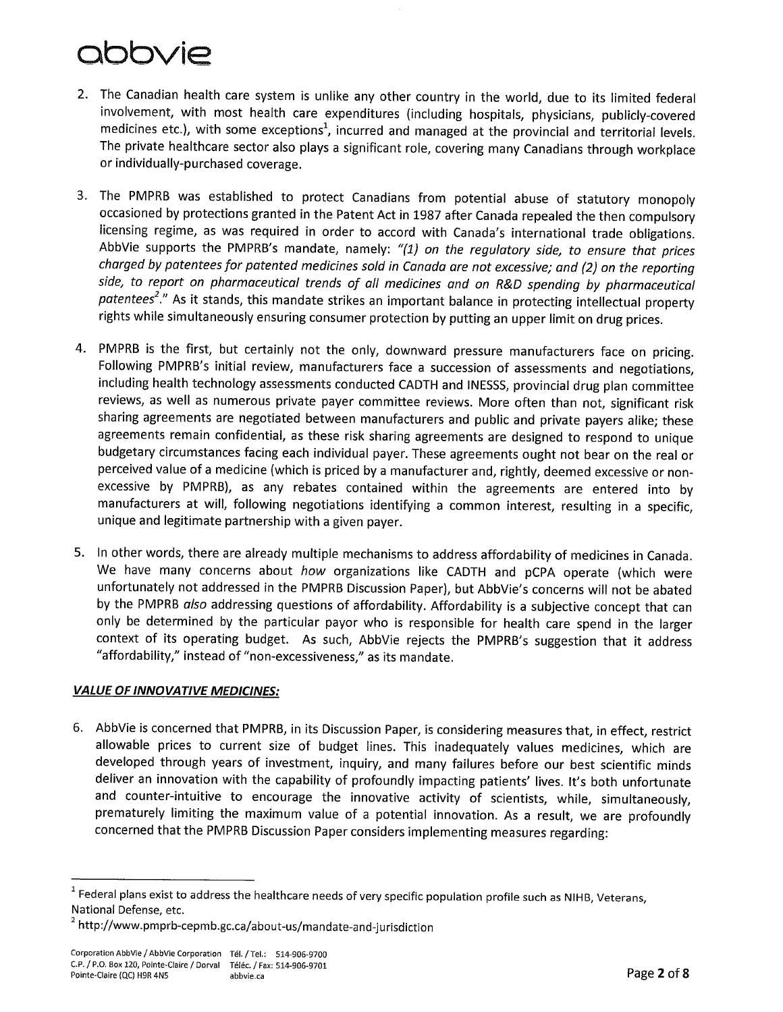- 2. The Canadian health care system is unlike any other country in the world, due to its limited federal involvement, with most health care expenditures (including hospitals, physicians, publicly-covered medicines etc.), with some exceptions<sup>1</sup>, incurred and managed at the provincial and territorial levels, The private healthcare sector also plays a significant role, covering many Canadians through workplace or individually-purchased coverage.
- 3. The PMPRB was established to protect Canadians from potential abuse of statutory monopoly occasioned by protections granted in the Patent Act in 1987 after Canada repealed the then compulsory licensing regime, as was required in order to accord with Canada's international trade obligations. AbbVie supports the PMPRB's mandate, namely: "(1) on the regulatory side, to ensure that prices charged by patentees for patented medicines sold in Canada are not excessive; and (2) on the reporting side, to report on pharmaceutical trends of all medicines and on R&D spending by pharmaceutical patentees<sup>2</sup>." As it stands, this mandate strikes an important balance in protecting intellectual property rights while simultaneously ensuring consumer protection by putting an upper limit on drug prices.
- 4. PMPRB is the first, but certainly not the only, downward pressure manufacturers face on pricing. Following PMPRB's initial review, manufacturers face a succession of assessments and negotiations, including health technology assessments conducted CADTH and INESSS, provincial drug plan committee reviews, as well as numerous private payer committee reviews. More often than not, significant risk sharing agreements are negotiated between manufacturers and public and private payers alike; these agreements remain confidential, as these risk sharing agreements are designed to respond to unique budgetary circumstances facing each individual payer. These agreements ought not bear on the real or perceived value of a medicine (which is priced by a manufacturer and, rightly, deemed excessive or nonexcessive by PMPRB), as any rebates contained within the agreements are entered into by manufacturers at will, following negotiations identifying a common interest, resulting in a specific, unique and legitimate partnership with a given payer.
- 5. In other words, there are already multiple mechanisms to address affordability of medicines in Canada. We have many concerns about how organizations like CADTH and pCPA operate (which were unfortunately not addressed in the PMPRB Discussion Paper), but AbbVie's concerns will not be abated by the PMPRB also addressing questions of affordability. Affordability is a subjective concept that can only be determined by the particular payor who is responsible for health care spend in the larger context of its operating budget. As such, AbbVie rejects the PMPRB's suggestion that it address "affordability," instead of "non-excessiveness," as its mandate.

### **VALUE OF INNOVATIVE MEDICINES:**

6. AbbVie is concerned that PMPRB, in its Discussion Paper, is considering measures that, in effect, restrict allowable prices to current size of budget lines. This inadequately values medicines, which are developed through years of investment, inquiry, and many failures before our best scientific minds deliver an innovation with the capability of profoundly impacting patients' lives. It's both unfortunate and counter-intuitive to encourage the innovative activity of scientists, while, simultaneously, prematurely limiting the maximum value of a potential innovation. As a result, we are profoundly concerned that the PMPRB Discussion Paper considers implementing measures regarding:

 $^1$  Federal plans exist to address the healthcare needs of very specific population profile such as NIHB, Veterans, National Defense, etc.

<sup>&</sup>lt;sup>2</sup> http://www.pmprb-cepmb.gc.ca/about-us/mandate-and-jurisdiction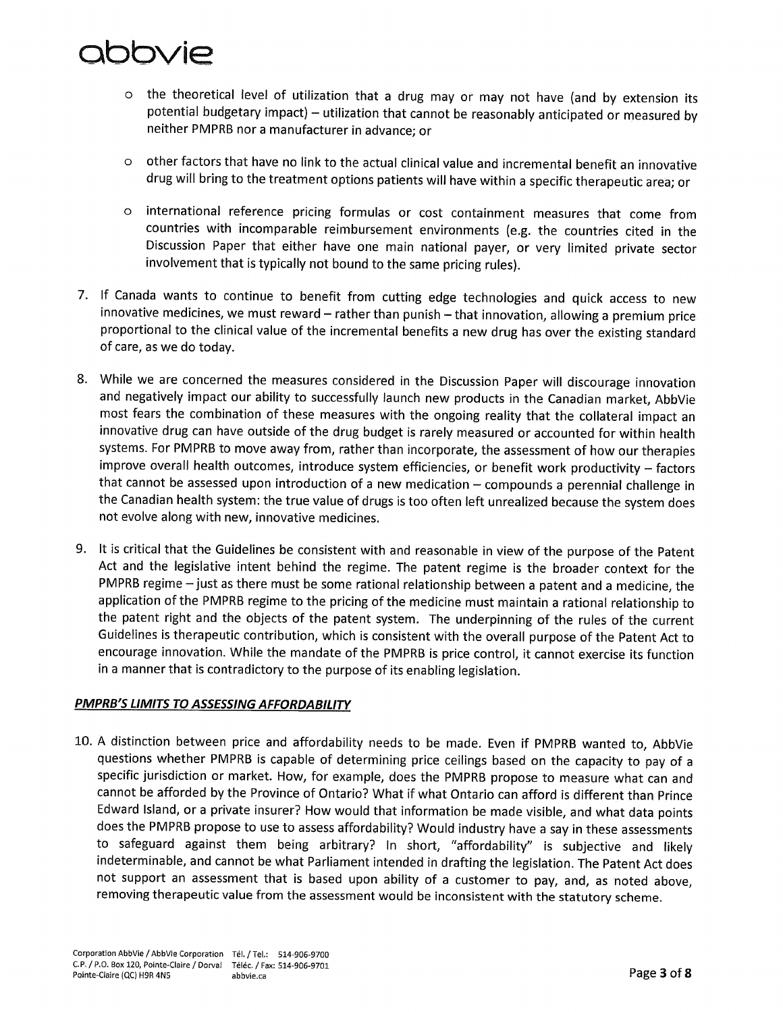- the theoretical level of utilization that a drug may or may not have (and by extension its  $\circ$ potential budgetary impact) - utilization that cannot be reasonably anticipated or measured by neither PMPRB nor a manufacturer in advance; or
- other factors that have no link to the actual clinical value and incremental benefit an innovative  $\circ$ drug will bring to the treatment options patients will have within a specific therapeutic area; or
- international reference pricing formulas or cost containment measures that come from  $\circ$ countries with incomparable reimbursement environments (e.g. the countries cited in the Discussion Paper that either have one main national payer, or very limited private sector involvement that is typically not bound to the same pricing rules).
- 7. If Canada wants to continue to benefit from cutting edge technologies and quick access to new innovative medicines, we must reward - rather than punish - that innovation, allowing a premium price proportional to the clinical value of the incremental benefits a new drug has over the existing standard of care, as we do today.
- 8. While we are concerned the measures considered in the Discussion Paper will discourage innovation and negatively impact our ability to successfully launch new products in the Canadian market, AbbVie most fears the combination of these measures with the ongoing reality that the collateral impact an innovative drug can have outside of the drug budget is rarely measured or accounted for within health systems. For PMPRB to move away from, rather than incorporate, the assessment of how our therapies improve overall health outcomes, introduce system efficiencies, or benefit work productivity - factors that cannot be assessed upon introduction of a new medication - compounds a perennial challenge in the Canadian health system: the true value of drugs is too often left unrealized because the system does not evolve along with new, innovative medicines.
- 9. It is critical that the Guidelines be consistent with and reasonable in view of the purpose of the Patent Act and the legislative intent behind the regime. The patent regime is the broader context for the PMPRB regime - just as there must be some rational relationship between a patent and a medicine, the application of the PMPRB regime to the pricing of the medicine must maintain a rational relationship to the patent right and the objects of the patent system. The underpinning of the rules of the current Guidelines is therapeutic contribution, which is consistent with the overall purpose of the Patent Act to encourage innovation. While the mandate of the PMPRB is price control, it cannot exercise its function in a manner that is contradictory to the purpose of its enabling legislation.

#### **PMPRB'S LIMITS TO ASSESSING AFFORDABILITY**

10. A distinction between price and affordability needs to be made. Even if PMPRB wanted to, AbbVie questions whether PMPRB is capable of determining price ceilings based on the capacity to pay of a specific jurisdiction or market. How, for example, does the PMPRB propose to measure what can and cannot be afforded by the Province of Ontario? What if what Ontario can afford is different than Prince Edward Island, or a private insurer? How would that information be made visible, and what data points does the PMPRB propose to use to assess affordability? Would industry have a say in these assessments to safeguard against them being arbitrary? In short, "affordability" is subjective and likely indeterminable, and cannot be what Parliament intended in drafting the legislation. The Patent Act does not support an assessment that is based upon ability of a customer to pay, and, as noted above, removing therapeutic value from the assessment would be inconsistent with the statutory scheme.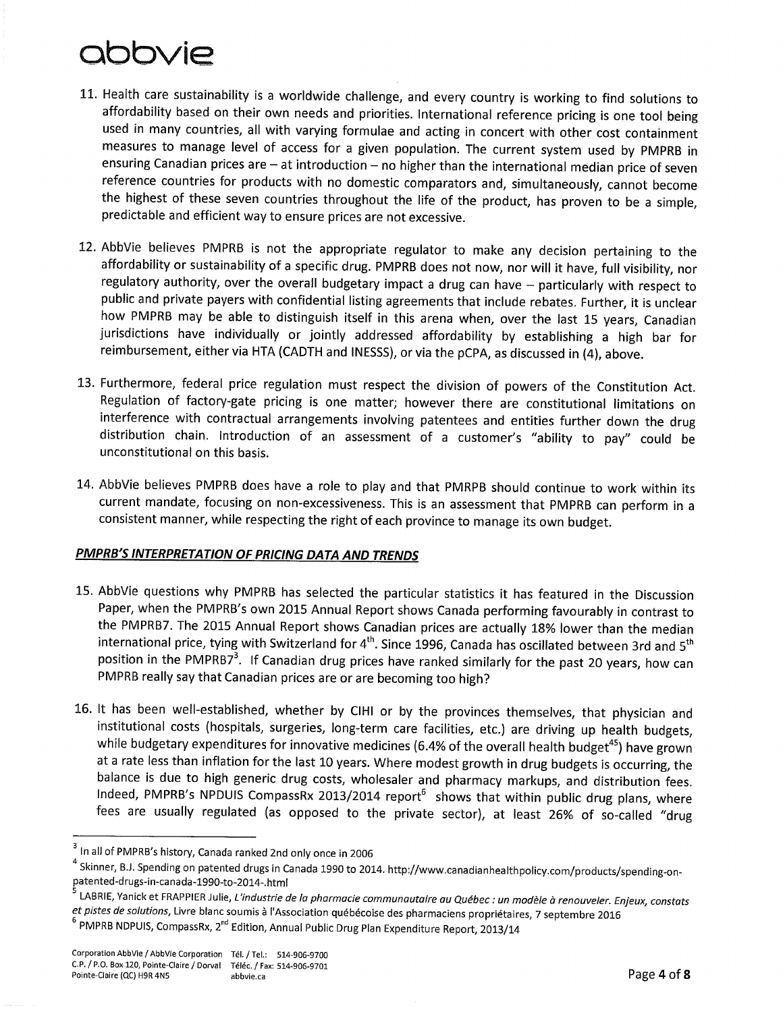- 11. Health care sustainability is a worldwide challenge, and every country is working to find solutions to affordability based on their own needs and priorities. International reference pricing is one tool being used in many countries, all with varying formulae and acting in concert with other cost containment measures to manage level of access for a given population. The current system used by PMPRB in ensuring Canadian prices are - at introduction - no higher than the international median price of seven reference countries for products with no domestic comparators and, simultaneously, cannot become the highest of these seven countries throughout the life of the product, has proven to be a simple, predictable and efficient way to ensure prices are not excessive.
- 12. AbbVie believes PMPRB is not the appropriate regulator to make any decision pertaining to the affordability or sustainability of a specific drug. PMPRB does not now, nor will it have, full visibility, nor regulatory authority, over the overall budgetary impact a drug can have - particularly with respect to public and private payers with confidential listing agreements that include rebates. Further, it is unclear how PMPRB may be able to distinguish itself in this arena when, over the last 15 years, Canadian jurisdictions have individually or jointly addressed affordability by establishing a high bar for reimbursement, either via HTA (CADTH and INESSS), or via the pCPA, as discussed in (4), above.
- 13. Furthermore, federal price regulation must respect the division of powers of the Constitution Act. Regulation of factory-gate pricing is one matter; however there are constitutional limitations on interference with contractual arrangements involving patentees and entities further down the drug distribution chain. Introduction of an assessment of a customer's "ability to pay" could be unconstitutional on this basis.
- 14. AbbVie believes PMPRB does have a role to play and that PMRPB should continue to work within its current mandate, focusing on non-excessiveness. This is an assessment that PMPRB can perform in a consistent manner, while respecting the right of each province to manage its own budget.

#### PMPRB'S INTERPRETATION OF PRICING DATA AND TRENDS

- 15. AbbVie questions why PMPRB has selected the particular statistics it has featured in the Discussion Paper, when the PMPRB's own 2015 Annual Report shows Canada performing favourably in contrast to the PMPRB7. The 2015 Annual Report shows Canadian prices are actually 18% lower than the median international price, tying with Switzerland for 4<sup>th</sup>. Since 1996, Canada has oscillated between 3rd and 5<sup>th</sup> position in the PMPRB7<sup>3</sup>. If Canadian drug prices have ranked similarly for the past 20 years, how can PMPRB really say that Canadian prices are or are becoming too high?
- 16. It has been well-established, whether by CIHI or by the provinces themselves, that physician and institutional costs (hospitals, surgeries, long-term care facilities, etc.) are driving up health budgets, while budgetary expenditures for innovative medicines (6.4% of the overall health budget<sup>45</sup>) have grown at a rate less than inflation for the last 10 years. Where modest growth in drug budgets is occurring, the balance is due to high generic drug costs, wholesaler and pharmacy markups, and distribution fees. Indeed, PMPRB's NPDUIS CompassRx 2013/2014 report<sup>6</sup> shows that within public drug plans, where fees are usually regulated (as opposed to the private sector), at least 26% of so-called "drug

<sup>&</sup>lt;sup>3</sup> In all of PMPRB's history, Canada ranked 2nd only once in 2006

 $^4$  Skinner, B.J. Spending on patented drugs in Canada 1990 to 2014. http://www.canadianhealthpolicy.com/products/spending-onpatented-drugs-in-canada-1990-to-2014-.html

<sup>&</sup>lt;sup>5</sup> LABRIE, Yanick et FRAPPIER Julie, *L'industrie de la pharmacie communautaire au Québec : un modèle à renouveler. Enjeux, constats* et pistes de solutions, Livre blanc soumis à l'Association québécoise des pharmaciens propriétaires, 7 septembre 2016

<sup>&</sup>lt;sup>6</sup> PMPRB NDPUIS, CompassRx, 2<sup>nd</sup> Edition, Annual Public Drug Plan Expenditure Report, 2013/14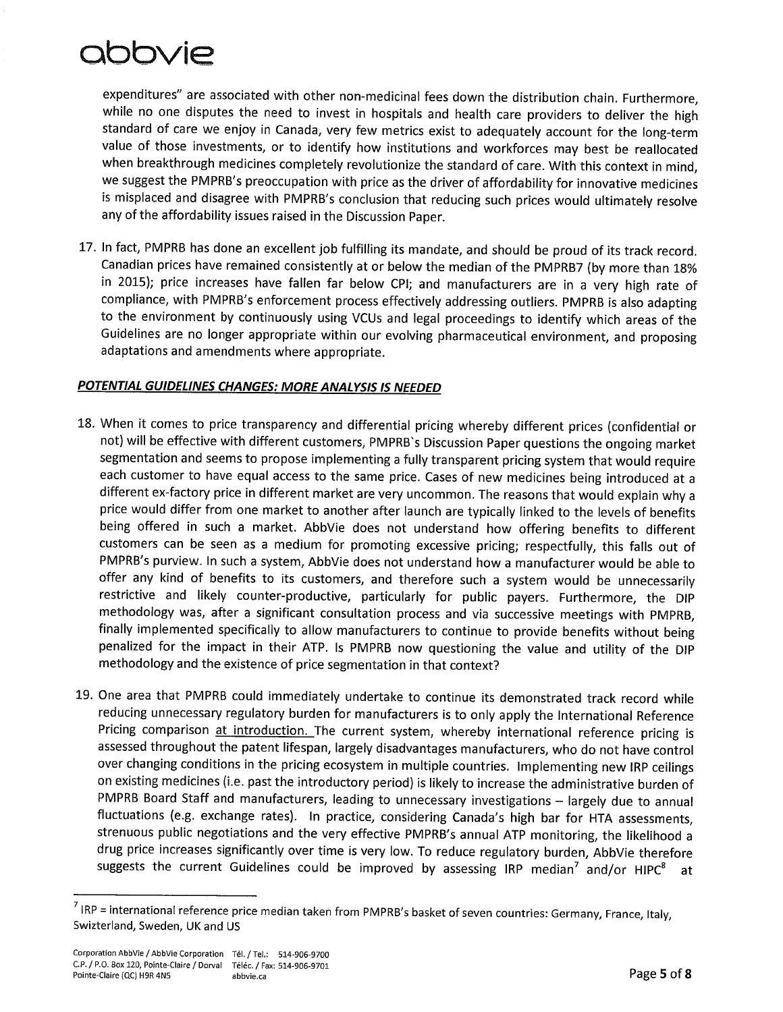expenditures" are associated with other non-medicinal fees down the distribution chain. Furthermore, while no one disputes the need to invest in hospitals and health care providers to deliver the high standard of care we enjoy in Canada, very few metrics exist to adequately account for the long-term value of those investments, or to identify how institutions and workforces may best be reallocated when breakthrough medicines completely revolutionize the standard of care. With this context in mind, we suggest the PMPRB's preoccupation with price as the driver of affordability for innovative medicines is misplaced and disagree with PMPRB's conclusion that reducing such prices would ultimately resolve any of the affordability issues raised in the Discussion Paper.

17. In fact, PMPRB has done an excellent job fulfilling its mandate, and should be proud of its track record. Canadian prices have remained consistently at or below the median of the PMPRB7 (by more than 18% in 2015); price increases have fallen far below CPI; and manufacturers are in a very high rate of compliance, with PMPRB's enforcement process effectively addressing outliers. PMPRB is also adapting to the environment by continuously using VCUs and legal proceedings to identify which areas of the Guidelines are no longer appropriate within our evolving pharmaceutical environment, and proposing adaptations and amendments where appropriate.

#### POTENTIAL GUIDELINES CHANGES: MORE ANALYSIS IS NEEDED

- 18. When it comes to price transparency and differential pricing whereby different prices (confidential or not) will be effective with different customers, PMPRB's Discussion Paper questions the ongoing market segmentation and seems to propose implementing a fully transparent pricing system that would require each customer to have equal access to the same price. Cases of new medicines being introduced at a different ex-factory price in different market are very uncommon. The reasons that would explain why a price would differ from one market to another after launch are typically linked to the levels of benefits being offered in such a market. AbbVie does not understand how offering benefits to different customers can be seen as a medium for promoting excessive pricing; respectfully, this falls out of PMPRB's purview. In such a system, AbbVie does not understand how a manufacturer would be able to offer any kind of benefits to its customers, and therefore such a system would be unnecessarily restrictive and likely counter-productive, particularly for public payers. Furthermore, the DIP methodology was, after a significant consultation process and via successive meetings with PMPRB, finally implemented specifically to allow manufacturers to continue to provide benefits without being penalized for the impact in their ATP. Is PMPRB now questioning the value and utility of the DIP methodology and the existence of price segmentation in that context?
- 19. One area that PMPRB could immediately undertake to continue its demonstrated track record while reducing unnecessary regulatory burden for manufacturers is to only apply the International Reference Pricing comparison at introduction. The current system, whereby international reference pricing is assessed throughout the patent lifespan, largely disadvantages manufacturers, who do not have control over changing conditions in the pricing ecosystem in multiple countries. Implementing new IRP ceilings on existing medicines (i.e. past the introductory period) is likely to increase the administrative burden of PMPRB Board Staff and manufacturers, leading to unnecessary investigations - largely due to annual fluctuations (e.g. exchange rates). In practice, considering Canada's high bar for HTA assessments, strenuous public negotiations and the very effective PMPRB's annual ATP monitoring, the likelihood a drug price increases significantly over time is very low. To reduce regulatory burden, AbbVie therefore suggests the current Guidelines could be improved by assessing IRP median<sup>7</sup> and/or HIPC<sup>8</sup>

 $^7$  IRP = international reference price median taken from PMPRB's basket of seven countries: Germany, France, Italy, Swizterland, Sweden, UK and US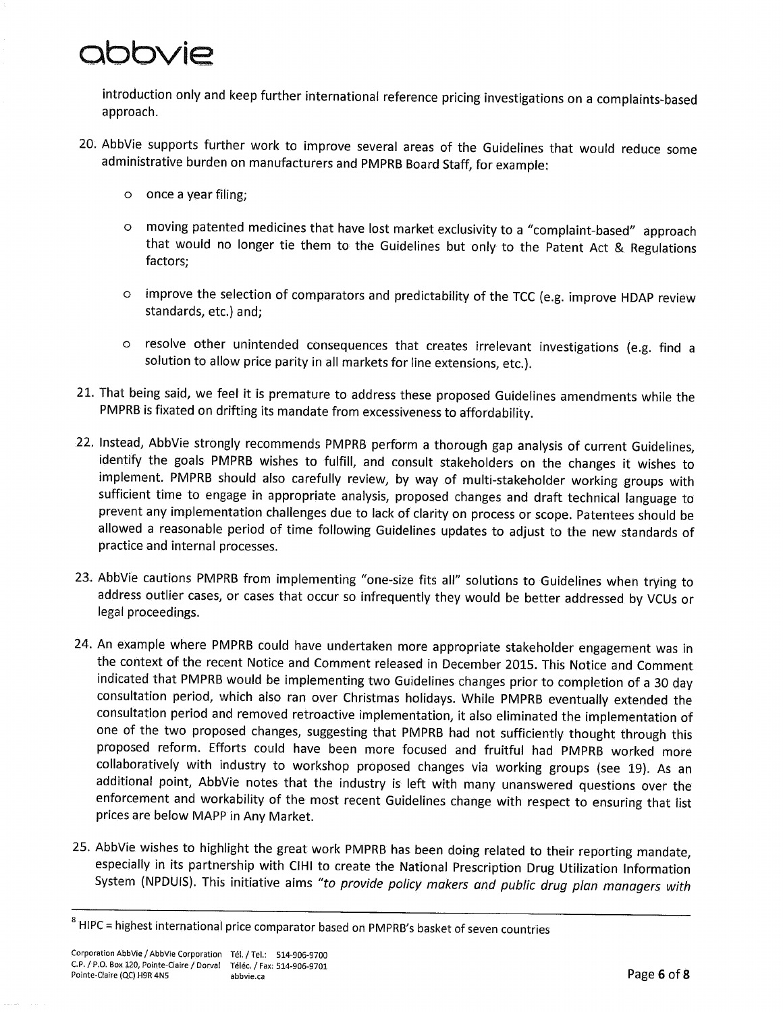introduction only and keep further international reference pricing investigations on a complaints-based approach.

- 20. AbbVie supports further work to improve several areas of the Guidelines that would reduce some administrative burden on manufacturers and PMPRB Board Staff, for example:
	- $\circ$  once a year filing;
	- moving patented medicines that have lost market exclusivity to a "complaint-based" approach  $\circ$ that would no longer tie them to the Guidelines but only to the Patent Act & Regulations factors;
	- improve the selection of comparators and predictability of the TCC (e.g. improve HDAP review  $\circ$ standards, etc.) and;
	- resolve other unintended consequences that creates irrelevant investigations (e.g. find a  $\circ$ solution to allow price parity in all markets for line extensions, etc.).
- 21. That being said, we feel it is premature to address these proposed Guidelines amendments while the PMPRB is fixated on drifting its mandate from excessiveness to affordability.
- 22. Instead, AbbVie strongly recommends PMPRB perform a thorough gap analysis of current Guidelines, identify the goals PMPRB wishes to fulfill, and consult stakeholders on the changes it wishes to implement. PMPRB should also carefully review, by way of multi-stakeholder working groups with sufficient time to engage in appropriate analysis, proposed changes and draft technical language to prevent any implementation challenges due to lack of clarity on process or scope. Patentees should be allowed a reasonable period of time following Guidelines updates to adjust to the new standards of practice and internal processes.
- 23. AbbVie cautions PMPRB from implementing "one-size fits all" solutions to Guidelines when trying to address outlier cases, or cases that occur so infrequently they would be better addressed by VCUs or legal proceedings.
- 24. An example where PMPRB could have undertaken more appropriate stakeholder engagement was in the context of the recent Notice and Comment released in December 2015. This Notice and Comment indicated that PMPRB would be implementing two Guidelines changes prior to completion of a 30 day consultation period, which also ran over Christmas holidays. While PMPRB eventually extended the consultation period and removed retroactive implementation, it also eliminated the implementation of one of the two proposed changes, suggesting that PMPRB had not sufficiently thought through this proposed reform. Efforts could have been more focused and fruitful had PMPRB worked more collaboratively with industry to workshop proposed changes via working groups (see 19). As an additional point, AbbVie notes that the industry is left with many unanswered questions over the enforcement and workability of the most recent Guidelines change with respect to ensuring that list prices are below MAPP in Any Market.
- 25. AbbVie wishes to highlight the great work PMPRB has been doing related to their reporting mandate, especially in its partnership with CIHI to create the National Prescription Drug Utilization Information System (NPDUIS). This initiative aims "to provide policy makers and public drug plan managers with

<sup>&</sup>lt;sup>8</sup> HIPC = highest international price comparator based on PMPRB's basket of seven countries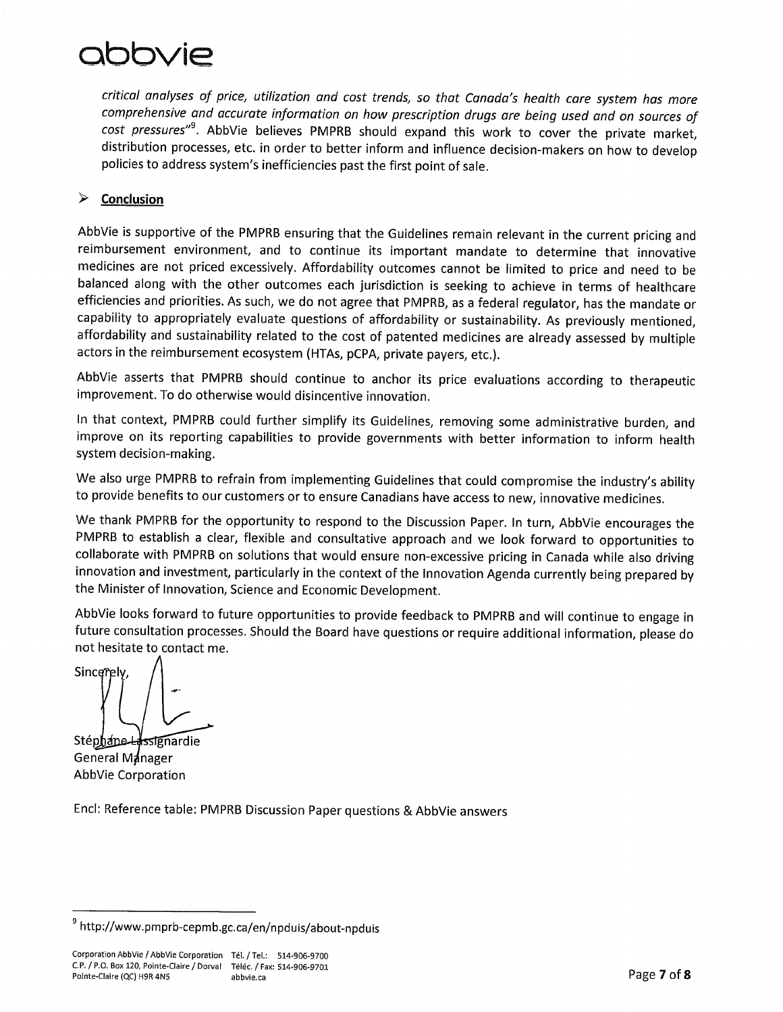### **DIDIDIDIM**

critical analyses of price, utilization and cost trends, so that Canada's health care system has more comprehensive and accurate information on how prescription drugs are being used and on sources of cost pressures"<sup>9</sup>. AbbVie believes PMPRB should expand this work to cover the private market, distribution processes, etc. in order to better inform and influence decision-makers on how to develop policies to address system's inefficiencies past the first point of sale.

#### $\blacktriangleright$ Conclusion

AbbVie is supportive of the PMPRB ensuring that the Guidelines remain relevant in the current pricing and reimbursement environment, and to continue its important mandate to determine that innovative medicines are not priced excessively. Affordability outcomes cannot be limited to price and need to be balanced along with the other outcomes each jurisdiction is seeking to achieve in terms of healthcare efficiencies and priorities. As such, we do not agree that PMPRB, as a federal regulator, has the mandate or capability to appropriately evaluate questions of affordability or sustainability. As previously mentioned, affordability and sustainability related to the cost of patented medicines are already assessed by multiple actors in the reimbursement ecosystem (HTAs, pCPA, private payers, etc.).

AbbVie asserts that PMPRB should continue to anchor its price evaluations according to therapeutic improvement. To do otherwise would disincentive innovation.

In that context, PMPRB could further simplify its Guidelines, removing some administrative burden, and improve on its reporting capabilities to provide governments with better information to inform health system decision-making.

We also urge PMPRB to refrain from implementing Guidelines that could compromise the industry's ability to provide benefits to our customers or to ensure Canadians have access to new, innovative medicines.

We thank PMPRB for the opportunity to respond to the Discussion Paper. In turn, AbbVie encourages the PMPRB to establish a clear, flexible and consultative approach and we look forward to opportunities to collaborate with PMPRB on solutions that would ensure non-excessive pricing in Canada while also driving innovation and investment, particularly in the context of the Innovation Agenda currently being prepared by the Minister of Innovation, Science and Economic Development.

AbbVie looks forward to future opportunities to provide feedback to PMPRB and will continue to engage in future consultation processes. Should the Board have questions or require additional information, please do not hesitate to contact me.

Sincerely

Stéphane Hissignardie General Manager AbbVie Corporation

Encl: Reference table: PMPRB Discussion Paper questions & AbbVie answers

<sup>&</sup>lt;sup>9</sup> http://www.pmprb-cepmb.gc.ca/en/npduis/about-npduis